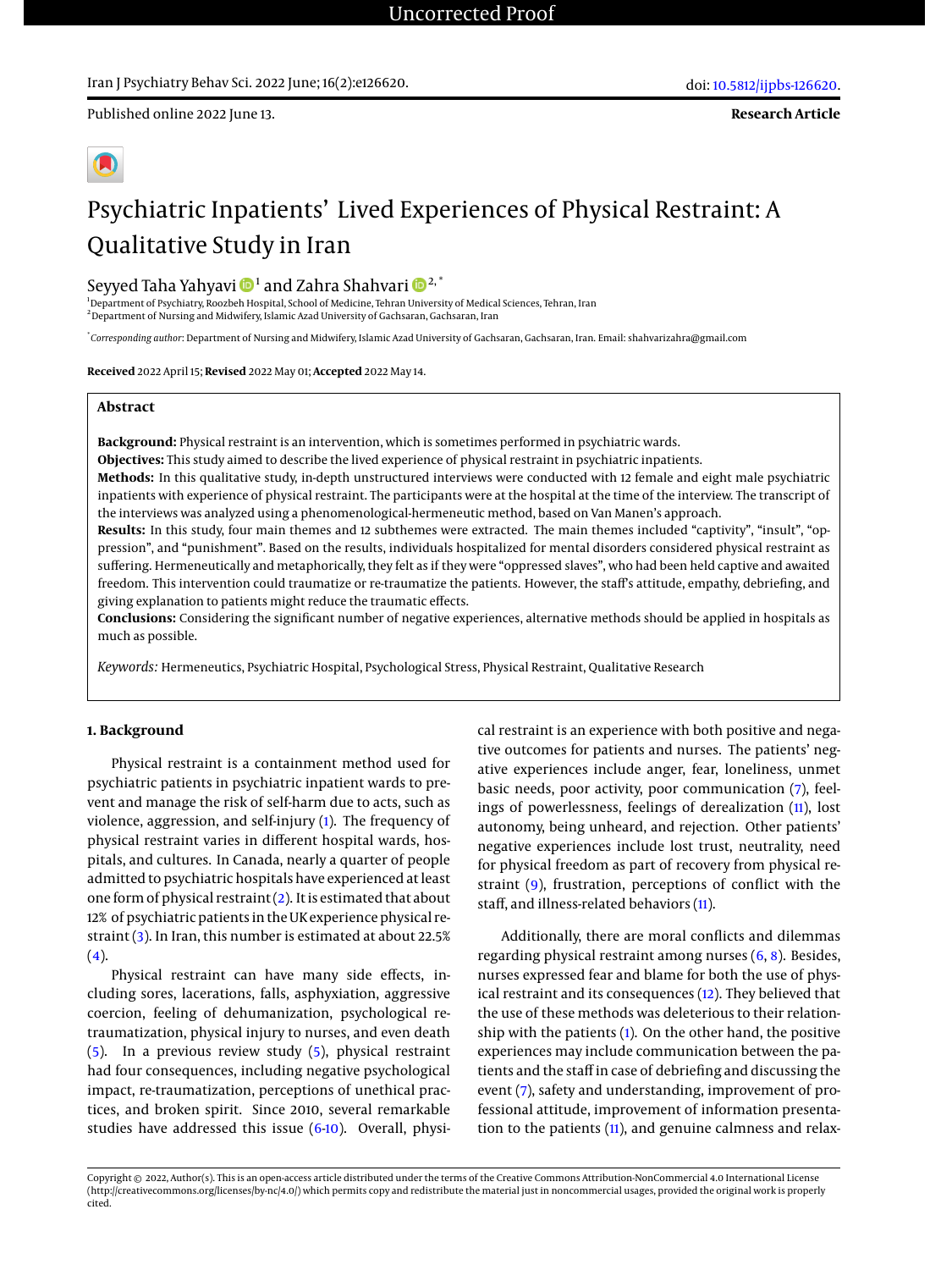# Iran J Psychiatry Behav Sci. 2022 June; 16(2):e126620.

Published online 2022 June 13.

**Research Article**

# Psychiatric Inpatients' Lived Experiences of Physical Restraint: A Qualitative Study in Iran

# Seyyed Taha Yahyavi  $\mathbf{D}^{1}$  and Zahra Shahvari  $\mathbf{D}^{2,\ast}$

<sup>1</sup>Department of Psychiatry, Roozbeh Hospital, School of Medicine, Tehran University of Medical Sciences, Tehran, Iran  $^{\rm 2}$  Department of Nursing and Midwifery, Islamic Azad University of Gachsaran, Gachsaran, Iran

\* *Corresponding author*: Department of Nursing and Midwifery, Islamic Azad University of Gachsaran, Gachsaran, Iran. Email: shahvarizahra@gmail.com

**Received** 2022 April 15; **Revised** 2022 May 01; **Accepted** 2022 May 14.

# **Abstract**

**Background:** Physical restraint is an intervention, which is sometimes performed in psychiatric wards.

**Objectives:** This study aimed to describe the lived experience of physical restraint in psychiatric inpatients.

**Methods:** In this qualitative study, in-depth unstructured interviews were conducted with 12 female and eight male psychiatric inpatients with experience of physical restraint. The participants were at the hospital at the time of the interview. The transcript of the interviews was analyzed using a phenomenological-hermeneutic method, based on Van Manen's approach.

**Results:** In this study, four main themes and 12 subthemes were extracted. The main themes included "captivity", "insult", "oppression", and "punishment". Based on the results, individuals hospitalized for mental disorders considered physical restraint as suffering. Hermeneutically and metaphorically, they felt as if they were "oppressed slaves", who had been held captive and awaited freedom. This intervention could traumatize or re-traumatize the patients. However, the staff's attitude, empathy, debriefing, and giving explanation to patients might reduce the traumatic effects.

**Conclusions:** Considering the significant number of negative experiences, alternative methods should be applied in hospitals as much as possible.

*Keywords:* Hermeneutics, Psychiatric Hospital, Psychological Stress, Physical Restraint, Qualitative Research

# **1. Background**

Physical restraint is a containment method used for psychiatric patients in psychiatric inpatient wards to prevent and manage the risk of self-harm due to acts, such as violence, aggression, and self-injury [\(1\)](#page-5-0). The frequency of physical restraint varies in different hospital wards, hospitals, and cultures. In Canada, nearly a quarter of people admitted to psychiatric hospitals have experienced at least one form of physical restraint [\(2\)](#page-5-1). It is estimated that about 12% of psychiatric patients in the UK experience physical restraint [\(3\)](#page-6-0). In Iran, this number is estimated at about 22.5%  $(4).$  $(4).$ 

Physical restraint can have many side effects, including sores, lacerations, falls, asphyxiation, aggressive coercion, feeling of dehumanization, psychological retraumatization, physical injury to nurses, and even death [\(5\)](#page-6-2). In a previous review study [\(5\)](#page-6-2), physical restraint had four consequences, including negative psychological impact, re-traumatization, perceptions of unethical practices, and broken spirit. Since 2010, several remarkable studies have addressed this issue  $(6-10)$  $(6-10)$ . Overall, physical restraint is an experience with both positive and negative outcomes for patients and nurses. The patients' negative experiences include anger, fear, loneliness, unmet basic needs, poor activity, poor communication [\(7\)](#page-6-5), feelings of powerlessness, feelings of derealization [\(11\)](#page-6-6), lost autonomy, being unheard, and rejection. Other patients' negative experiences include lost trust, neutrality, need for physical freedom as part of recovery from physical restraint [\(9\)](#page-6-7), frustration, perceptions of conflict with the staff, and illness-related behaviors [\(11\)](#page-6-6).

Additionally, there are moral conflicts and dilemmas regarding physical restraint among nurses [\(6,](#page-6-3) [8\)](#page-6-8). Besides, nurses expressed fear and blame for both the use of physical restraint and its consequences [\(12\)](#page-6-9). They believed that the use of these methods was deleterious to their relationship with the patients [\(1\)](#page-5-0). On the other hand, the positive experiences may include communication between the patients and the staff in case of debriefing and discussing the event [\(7\)](#page-6-5), safety and understanding, improvement of professional attitude, improvement of information presentation to the patients [\(11\)](#page-6-6), and genuine calmness and relax-

Copyright © 2022, Author(s). This is an open-access article distributed under the terms of the Creative Commons Attribution-NonCommercial 4.0 International License (http://creativecommons.org/licenses/by-nc/4.0/) which permits copy and redistribute the material just in noncommercial usages, provided the original work is properly cited.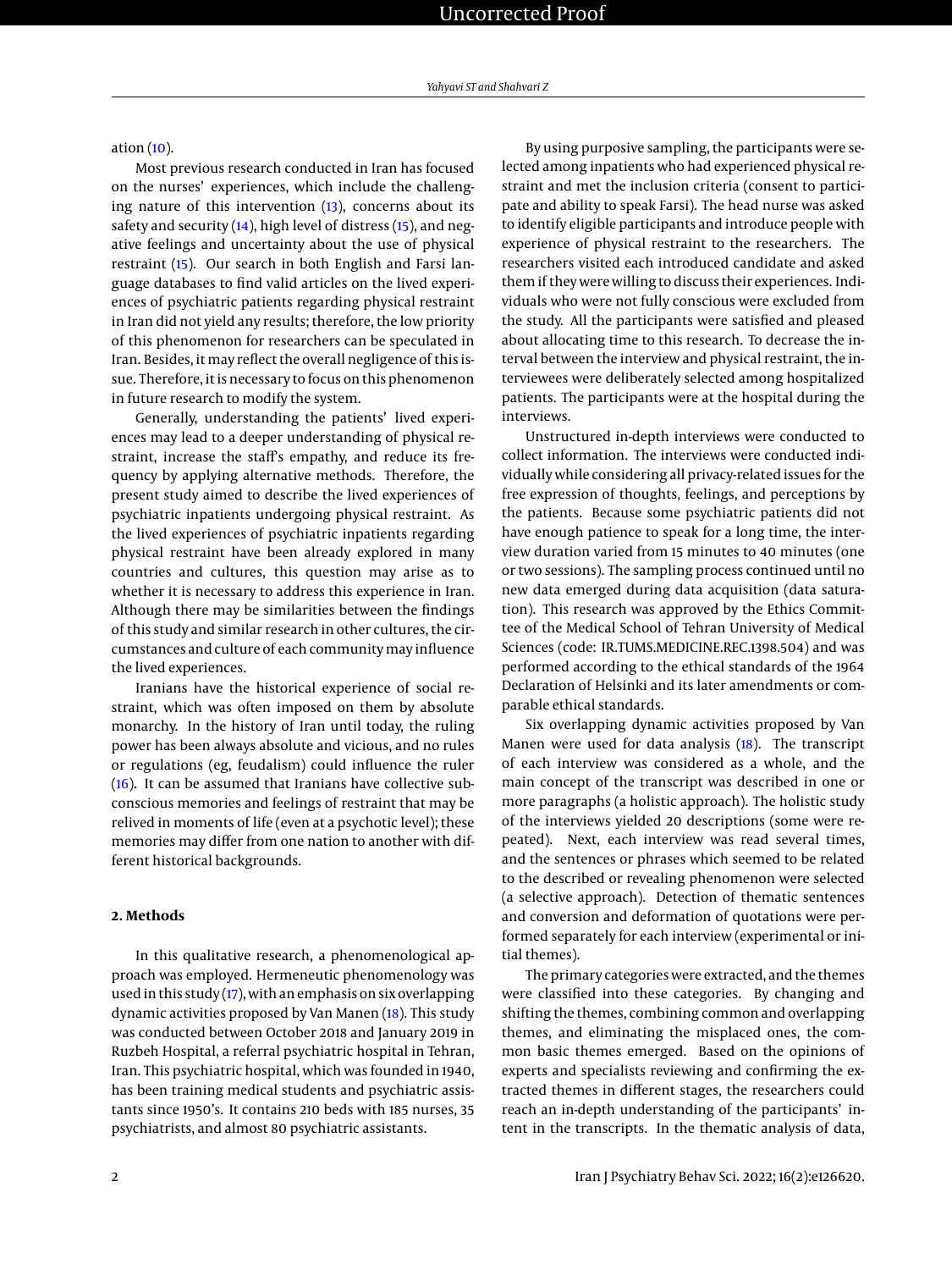# ation [\(10\)](#page-6-4).

Most previous research conducted in Iran has focused on the nurses' experiences, which include the challenging nature of this intervention [\(13\)](#page-6-10), concerns about its safety and security [\(14\)](#page-6-11), high level of distress [\(15\)](#page-6-12), and negative feelings and uncertainty about the use of physical restraint [\(15\)](#page-6-12). Our search in both English and Farsi language databases to find valid articles on the lived experiences of psychiatric patients regarding physical restraint in Iran did not yield any results; therefore, the low priority of this phenomenon for researchers can be speculated in Iran. Besides, it may reflect the overall negligence of this issue. Therefore, it is necessary to focus on this phenomenon in future research to modify the system.

Generally, understanding the patients' lived experiences may lead to a deeper understanding of physical restraint, increase the staff's empathy, and reduce its frequency by applying alternative methods. Therefore, the present study aimed to describe the lived experiences of psychiatric inpatients undergoing physical restraint. As the lived experiences of psychiatric inpatients regarding physical restraint have been already explored in many countries and cultures, this question may arise as to whether it is necessary to address this experience in Iran. Although there may be similarities between the findings of this study and similar research in other cultures, the circumstances and culture of each communitymay influence the lived experiences.

Iranians have the historical experience of social restraint, which was often imposed on them by absolute monarchy. In the history of Iran until today, the ruling power has been always absolute and vicious, and no rules or regulations (eg, feudalism) could influence the ruler [\(16\)](#page-6-13). It can be assumed that Iranians have collective subconscious memories and feelings of restraint that may be relived in moments of life (even at a psychotic level); these memories may differ from one nation to another with different historical backgrounds.

# **2. Methods**

In this qualitative research, a phenomenological approach was employed. Hermeneutic phenomenology was used in this study  $(17)$ , with an emphasis on six overlapping dynamic activities proposed by Van Manen [\(18\)](#page-6-15). This study was conducted between October 2018 and January 2019 in Ruzbeh Hospital, a referral psychiatric hospital in Tehran, Iran. This psychiatric hospital, which was founded in 1940, has been training medical students and psychiatric assistants since 1950's. It contains 210 beds with 185 nurses, 35 psychiatrists, and almost 80 psychiatric assistants.

By using purposive sampling, the participants were selected among inpatients who had experienced physical restraint and met the inclusion criteria (consent to participate and ability to speak Farsi). The head nurse was asked to identify eligible participants and introduce people with experience of physical restraint to the researchers. The researchers visited each introduced candidate and asked them if they were willing to discuss their experiences. Individuals who were not fully conscious were excluded from the study. All the participants were satisfied and pleased about allocating time to this research. To decrease the interval between the interview and physical restraint, the interviewees were deliberately selected among hospitalized patients. The participants were at the hospital during the interviews.

Unstructured in-depth interviews were conducted to collect information. The interviews were conducted individually while considering all privacy-related issues for the free expression of thoughts, feelings, and perceptions by the patients. Because some psychiatric patients did not have enough patience to speak for a long time, the interview duration varied from 15 minutes to 40 minutes (one or two sessions). The sampling process continued until no new data emerged during data acquisition (data saturation). This research was approved by the Ethics Committee of the Medical School of Tehran University of Medical Sciences (code: IR.TUMS.MEDICINE.REC.1398.504) and was performed according to the ethical standards of the 1964 Declaration of Helsinki and its later amendments or comparable ethical standards.

Six overlapping dynamic activities proposed by Van Manen were used for data analysis [\(18\)](#page-6-15). The transcript of each interview was considered as a whole, and the main concept of the transcript was described in one or more paragraphs (a holistic approach). The holistic study of the interviews yielded 20 descriptions (some were repeated). Next, each interview was read several times, and the sentences or phrases which seemed to be related to the described or revealing phenomenon were selected (a selective approach). Detection of thematic sentences and conversion and deformation of quotations were performed separately for each interview (experimental or initial themes).

The primary categories were extracted, and the themes were classified into these categories. By changing and shifting the themes, combining common and overlapping themes, and eliminating the misplaced ones, the common basic themes emerged. Based on the opinions of experts and specialists reviewing and confirming the extracted themes in different stages, the researchers could reach an in-depth understanding of the participants' intent in the transcripts. In the thematic analysis of data,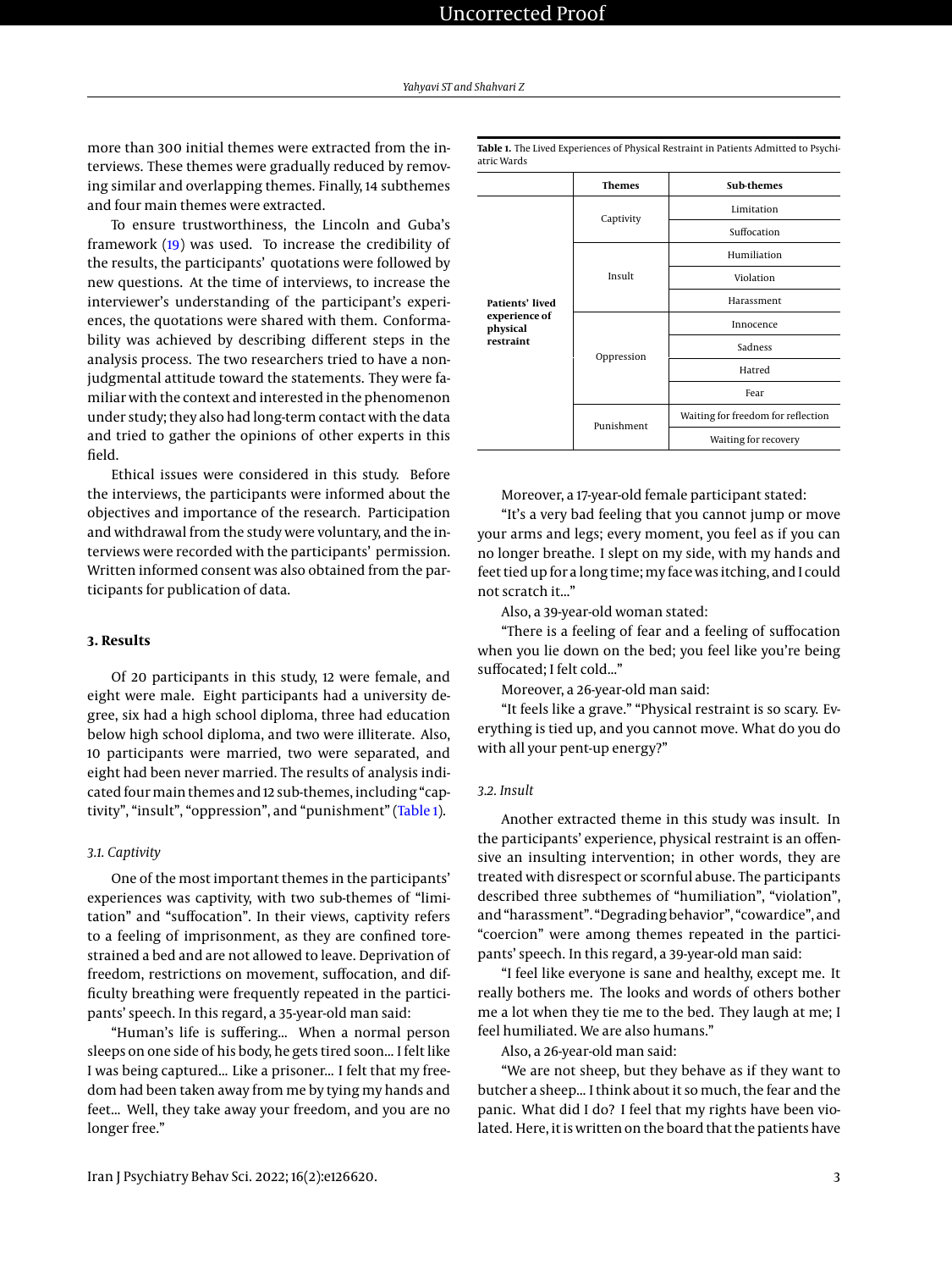more than 300 initial themes were extracted from the interviews. These themes were gradually reduced by removing similar and overlapping themes. Finally, 14 subthemes and four main themes were extracted.

To ensure trustworthiness, the Lincoln and Guba's framework [\(19\)](#page-6-16) was used. To increase the credibility of the results, the participants' quotations were followed by new questions. At the time of interviews, to increase the interviewer's understanding of the participant's experiences, the quotations were shared with them. Conformability was achieved by describing different steps in the analysis process. The two researchers tried to have a nonjudgmental attitude toward the statements. They were familiar with the context and interested in the phenomenon under study; they also had long-term contact with the data and tried to gather the opinions of other experts in this field.

Ethical issues were considered in this study. Before the interviews, the participants were informed about the objectives and importance of the research. Participation and withdrawal from the study were voluntary, and the interviews were recorded with the participants' permission. Written informed consent was also obtained from the participants for publication of data.

# **3. Results**

Of 20 participants in this study, 12 were female, and eight were male. Eight participants had a university degree, six had a high school diploma, three had education below high school diploma, and two were illiterate. Also, 10 participants were married, two were separated, and eight had been never married. The results of analysis indicated four main themes and 12 sub-themes, including "captivity", "insult", "oppression", and "punishment" [\(Table 1\)](#page-2-0).

### *3.1. Captivity*

One of the most important themes in the participants' experiences was captivity, with two sub-themes of "limitation" and "suffocation". In their views, captivity refers to a feeling of imprisonment, as they are confined torestrained a bed and are not allowed to leave. Deprivation of freedom, restrictions on movement, suffocation, and difficulty breathing were frequently repeated in the participants' speech. In this regard, a 35-year-old man said:

"Human's life is suffering... When a normal person sleeps on one side of his body, he gets tired soon... I felt like I was being captured... Like a prisoner... I felt that my freedom had been taken away from me by tying my hands and feet... Well, they take away your freedom, and you are no longer free."

<span id="page-2-0"></span>**Table 1.** The Lived Experiences of Physical Restraint in Patients Admitted to Psychiatric Wards



Moreover, a 17-year-old female participant stated:

"It's a very bad feeling that you cannot jump or move your arms and legs; every moment, you feel as if you can no longer breathe. I slept on my side, with my hands and feet tied up for a long time; my face was itching, and I could not scratch it..."

Also, a 39-year-old woman stated:

"There is a feeling of fear and a feeling of suffocation when you lie down on the bed; you feel like you're being suffocated; I felt cold..."

Moreover, a 26-year-old man said:

"It feels like a grave." "Physical restraint is so scary. Everything is tied up, and you cannot move. What do you do with all your pent-up energy?"

# *3.2. Insult*

Another extracted theme in this study was insult. In the participants' experience, physical restraint is an offensive an insulting intervention; in other words, they are treated with disrespect or scornful abuse. The participants described three subthemes of "humiliation", "violation", and "harassment". "Degrading behavior", "cowardice", and "coercion" were among themes repeated in the participants' speech. In this regard, a 39-year-old man said:

"I feel like everyone is sane and healthy, except me. It really bothers me. The looks and words of others bother me a lot when they tie me to the bed. They laugh at me; I feel humiliated. We are also humans."

Also, a 26-year-old man said:

"We are not sheep, but they behave as if they want to butcher a sheep... I think about it so much, the fear and the panic. What did I do? I feel that my rights have been violated. Here, it is written on the board that the patients have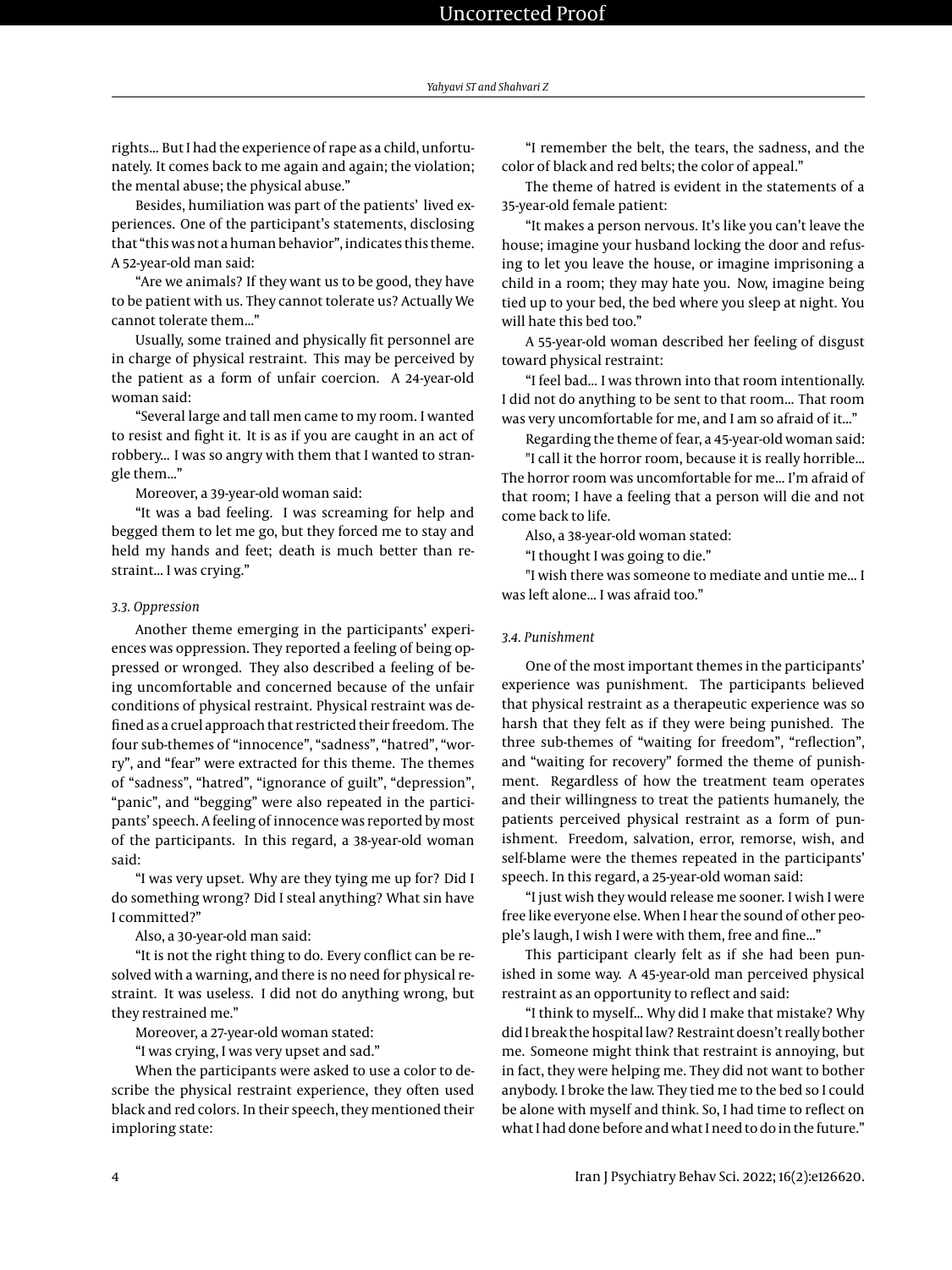rights... But I had the experience of rape as a child, unfortunately. It comes back to me again and again; the violation; the mental abuse; the physical abuse."

Besides, humiliation was part of the patients' lived experiences. One of the participant's statements, disclosing that "this was not a human behavior", indicates this theme. A 52-year-old man said:

"Are we animals? If they want us to be good, they have to be patient with us. They cannot tolerate us? Actually We cannot tolerate them..."

Usually, some trained and physically fit personnel are in charge of physical restraint. This may be perceived by the patient as a form of unfair coercion. A 24-year-old woman said:

"Several large and tall men came to my room. I wanted to resist and fight it. It is as if you are caught in an act of robbery... I was so angry with them that I wanted to strangle them..."

Moreover, a 39-year-old woman said:

"It was a bad feeling. I was screaming for help and begged them to let me go, but they forced me to stay and held my hands and feet; death is much better than restraint... I was crying."

# *3.3. Oppression*

Another theme emerging in the participants' experiences was oppression. They reported a feeling of being oppressed or wronged. They also described a feeling of being uncomfortable and concerned because of the unfair conditions of physical restraint. Physical restraint was defined as a cruel approach that restricted their freedom. The four sub-themes of "innocence", "sadness", "hatred", "worry", and "fear" were extracted for this theme. The themes of "sadness", "hatred", "ignorance of guilt", "depression", "panic", and "begging" were also repeated in the participants' speech. A feeling of innocence was reported by most of the participants. In this regard, a 38-year-old woman said:

"I was very upset. Why are they tying me up for? Did I do something wrong? Did I steal anything? What sin have I committed?"

Also, a 30-year-old man said:

"It is not the right thing to do. Every conflict can be resolved with a warning, and there is no need for physical restraint. It was useless. I did not do anything wrong, but they restrained me."

Moreover, a 27-year-old woman stated:

"I was crying, I was very upset and sad."

When the participants were asked to use a color to describe the physical restraint experience, they often used black and red colors. In their speech, they mentioned their imploring state:

"I remember the belt, the tears, the sadness, and the color of black and red belts; the color of appeal."

The theme of hatred is evident in the statements of a 35-year-old female patient:

"It makes a person nervous. It's like you can't leave the house; imagine your husband locking the door and refusing to let you leave the house, or imagine imprisoning a child in a room; they may hate you. Now, imagine being tied up to your bed, the bed where you sleep at night. You will hate this bed too."

A 55-year-old woman described her feeling of disgust toward physical restraint:

"I feel bad... I was thrown into that room intentionally. I did not do anything to be sent to that room... That room was very uncomfortable for me, and I am so afraid of it..."

Regarding the theme of fear, a 45-year-old woman said:

"I call it the horror room, because it is really horrible... The horror room was uncomfortable for me... I'm afraid of that room; I have a feeling that a person will die and not come back to life.

Also, a 38-year-old woman stated:

"I thought I was going to die."

"I wish there was someone to mediate and untie me... I was left alone... I was afraid too."

# *3.4. Punishment*

One of the most important themes in the participants' experience was punishment. The participants believed that physical restraint as a therapeutic experience was so harsh that they felt as if they were being punished. The three sub-themes of "waiting for freedom", "reflection", and "waiting for recovery" formed the theme of punishment. Regardless of how the treatment team operates and their willingness to treat the patients humanely, the patients perceived physical restraint as a form of punishment. Freedom, salvation, error, remorse, wish, and self-blame were the themes repeated in the participants' speech. In this regard, a 25-year-old woman said:

"I just wish they would release me sooner. I wish I were free like everyone else. When I hear the sound of other people's laugh, I wish I were with them, free and fine..."

This participant clearly felt as if she had been punished in some way. A 45-year-old man perceived physical restraint as an opportunity to reflect and said:

"I think to myself... Why did I make that mistake? Why did I break the hospital law? Restraint doesn't really bother me. Someone might think that restraint is annoying, but in fact, they were helping me. They did not want to bother anybody. I broke the law. They tied me to the bed so I could be alone with myself and think. So, I had time to reflect on what I had done before and what I need to do in the future."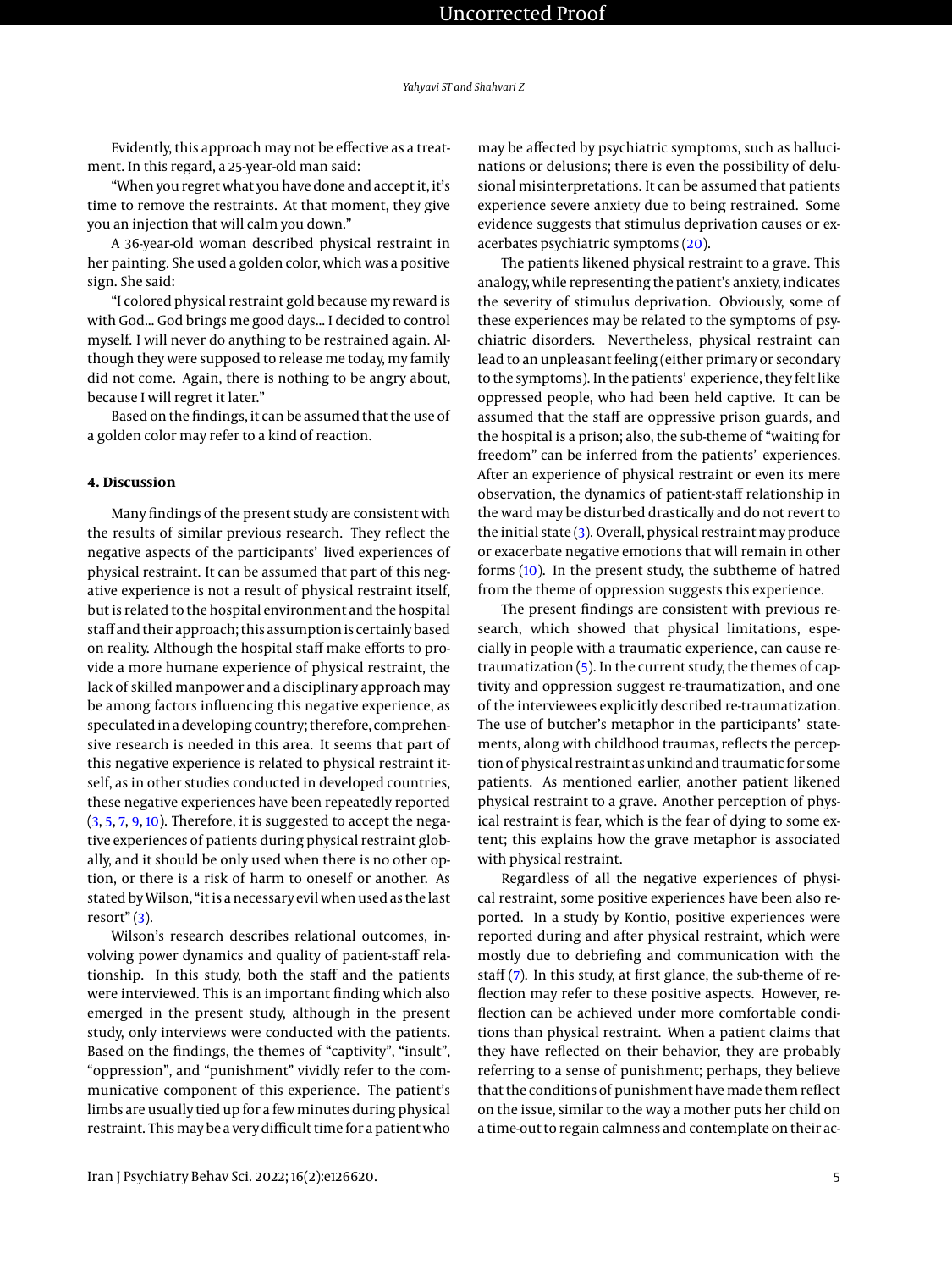Evidently, this approach may not be effective as a treatment. In this regard, a 25-year-old man said:

"When you regret what you have done and accept it, it's time to remove the restraints. At that moment, they give you an injection that will calm you down."

A 36-year-old woman described physical restraint in her painting. She used a golden color, which was a positive sign. She said:

"I colored physical restraint gold because my reward is with God... God brings me good days... I decided to control myself. I will never do anything to be restrained again. Although they were supposed to release me today, my family did not come. Again, there is nothing to be angry about, because I will regret it later."

Based on the findings, it can be assumed that the use of a golden color may refer to a kind of reaction.

# **4. Discussion**

Many findings of the present study are consistent with the results of similar previous research. They reflect the negative aspects of the participants' lived experiences of physical restraint. It can be assumed that part of this negative experience is not a result of physical restraint itself, but is related to the hospital environment and the hospital staff and their approach; this assumption is certainly based on reality. Although the hospital staff make efforts to provide a more humane experience of physical restraint, the lack of skilled manpower and a disciplinary approach may be among factors influencing this negative experience, as speculated in a developing country; therefore, comprehensive research is needed in this area. It seems that part of this negative experience is related to physical restraint itself, as in other studies conducted in developed countries, these negative experiences have been repeatedly reported [\(3,](#page-6-0) [5,](#page-6-2) [7,](#page-6-5) [9,](#page-6-7) [10\)](#page-6-4). Therefore, it is suggested to accept the negative experiences of patients during physical restraint globally, and it should be only used when there is no other option, or there is a risk of harm to oneself or another. As stated byWilson, "it is a necessary evil when used as the last resort" $(3)$ .

Wilson's research describes relational outcomes, involving power dynamics and quality of patient-staff relationship. In this study, both the staff and the patients were interviewed. This is an important finding which also emerged in the present study, although in the present study, only interviews were conducted with the patients. Based on the findings, the themes of "captivity", "insult", "oppression", and "punishment" vividly refer to the communicative component of this experience. The patient's limbs are usually tied up for a few minutes during physical restraint. This may be a very difficult time for a patient who may be affected by psychiatric symptoms, such as hallucinations or delusions; there is even the possibility of delusional misinterpretations. It can be assumed that patients experience severe anxiety due to being restrained. Some evidence suggests that stimulus deprivation causes or exacerbates psychiatric symptoms [\(20\)](#page-6-17).

The patients likened physical restraint to a grave. This analogy, while representing the patient's anxiety, indicates the severity of stimulus deprivation. Obviously, some of these experiences may be related to the symptoms of psychiatric disorders. Nevertheless, physical restraint can lead to an unpleasant feeling (either primary or secondary to the symptoms). In the patients' experience, they felt like oppressed people, who had been held captive. It can be assumed that the staff are oppressive prison guards, and the hospital is a prison; also, the sub-theme of "waiting for freedom" can be inferred from the patients' experiences. After an experience of physical restraint or even its mere observation, the dynamics of patient-staff relationship in the ward may be disturbed drastically and do not revert to the initial state  $(3)$ . Overall, physical restraint may produce or exacerbate negative emotions that will remain in other forms [\(10\)](#page-6-4). In the present study, the subtheme of hatred from the theme of oppression suggests this experience.

The present findings are consistent with previous research, which showed that physical limitations, especially in people with a traumatic experience, can cause retraumatization [\(5\)](#page-6-2). In the current study, the themes of captivity and oppression suggest re-traumatization, and one of the interviewees explicitly described re-traumatization. The use of butcher's metaphor in the participants' statements, along with childhood traumas, reflects the perception of physical restraint as unkind and traumatic for some patients. As mentioned earlier, another patient likened physical restraint to a grave. Another perception of physical restraint is fear, which is the fear of dying to some extent; this explains how the grave metaphor is associated with physical restraint.

Regardless of all the negative experiences of physical restraint, some positive experiences have been also reported. In a study by Kontio, positive experiences were reported during and after physical restraint, which were mostly due to debriefing and communication with the staff [\(7\)](#page-6-5). In this study, at first glance, the sub-theme of reflection may refer to these positive aspects. However, reflection can be achieved under more comfortable conditions than physical restraint. When a patient claims that they have reflected on their behavior, they are probably referring to a sense of punishment; perhaps, they believe that the conditions of punishment have made them reflect on the issue, similar to the way a mother puts her child on a time-out to regain calmness and contemplate on their ac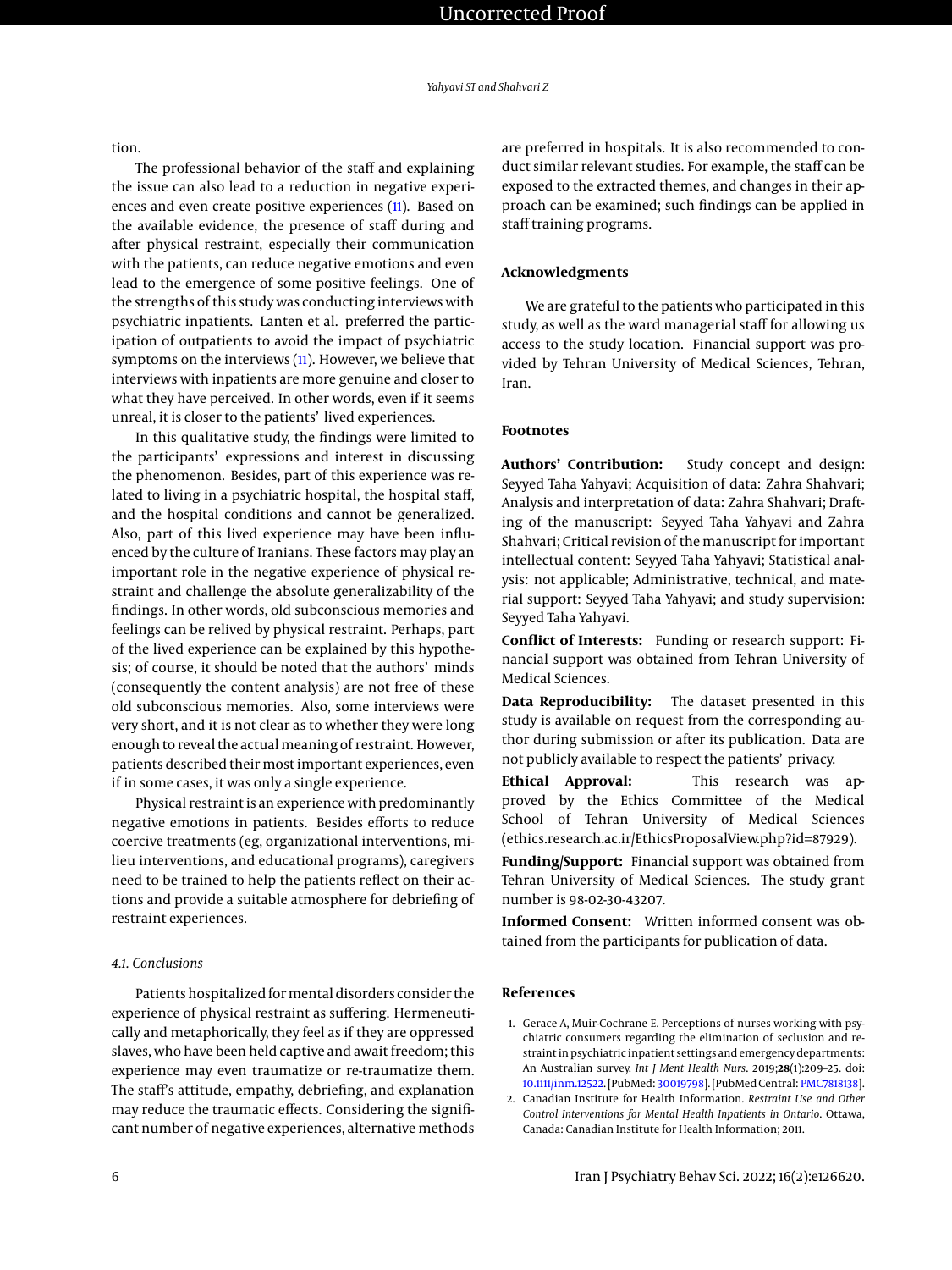tion.

The professional behavior of the staff and explaining the issue can also lead to a reduction in negative experiences and even create positive experiences [\(11\)](#page-6-6). Based on the available evidence, the presence of staff during and after physical restraint, especially their communication with the patients, can reduce negative emotions and even lead to the emergence of some positive feelings. One of the strengths of this study was conducting interviews with psychiatric inpatients. Lanten et al. preferred the participation of outpatients to avoid the impact of psychiatric symptoms on the interviews [\(11\)](#page-6-6). However, we believe that interviews with inpatients are more genuine and closer to what they have perceived. In other words, even if it seems unreal, it is closer to the patients' lived experiences.

In this qualitative study, the findings were limited to the participants' expressions and interest in discussing the phenomenon. Besides, part of this experience was related to living in a psychiatric hospital, the hospital staff, and the hospital conditions and cannot be generalized. Also, part of this lived experience may have been influenced by the culture of Iranians. These factors may play an important role in the negative experience of physical restraint and challenge the absolute generalizability of the findings. In other words, old subconscious memories and feelings can be relived by physical restraint. Perhaps, part of the lived experience can be explained by this hypothesis; of course, it should be noted that the authors' minds (consequently the content analysis) are not free of these old subconscious memories. Also, some interviews were very short, and it is not clear as to whether they were long enough to reveal the actual meaning of restraint. However, patients described their most important experiences, even if in some cases, it was only a single experience.

Physical restraint is an experience with predominantly negative emotions in patients. Besides efforts to reduce coercive treatments (eg, organizational interventions, milieu interventions, and educational programs), caregivers need to be trained to help the patients reflect on their actions and provide a suitable atmosphere for debriefing of restraint experiences.

## *4.1. Conclusions*

Patients hospitalized for mental disorders consider the experience of physical restraint as suffering. Hermeneutically and metaphorically, they feel as if they are oppressed slaves, who have been held captive and await freedom; this experience may even traumatize or re-traumatize them. The staff's attitude, empathy, debriefing, and explanation may reduce the traumatic effects. Considering the significant number of negative experiences, alternative methods

are preferred in hospitals. It is also recommended to conduct similar relevant studies. For example, the staff can be exposed to the extracted themes, and changes in their approach can be examined; such findings can be applied in staff training programs.

# **Acknowledgments**

We are grateful to the patients who participated in this study, as well as the ward managerial staff for allowing us access to the study location. Financial support was provided by Tehran University of Medical Sciences, Tehran, Iran.

# **Footnotes**

**Authors' Contribution:** Study concept and design: Seyyed Taha Yahyavi; Acquisition of data: Zahra Shahvari; Analysis and interpretation of data: Zahra Shahvari; Drafting of the manuscript: Seyyed Taha Yahyavi and Zahra Shahvari; Critical revision of the manuscript for important intellectual content: Seyyed Taha Yahyavi; Statistical analysis: not applicable; Administrative, technical, and material support: Seyyed Taha Yahyavi; and study supervision: Seyyed Taha Yahyavi.

**Conflict of Interests:** Funding or research support: Financial support was obtained from Tehran University of Medical Sciences.

**Data Reproducibility:** The dataset presented in this study is available on request from the corresponding author during submission or after its publication. Data are not publicly available to respect the patients' privacy.

**Ethical Approval:** This research was approved by the Ethics Committee of the Medical School of Tehran University of Medical Sciences (ethics.research.ac.ir/EthicsProposalView.php?id=87929).

**Funding/Support:** Financial support was obtained from Tehran University of Medical Sciences. The study grant number is 98-02-30-43207.

**Informed Consent:** Written informed consent was obtained from the participants for publication of data.

# **References**

- <span id="page-5-0"></span>1. Gerace A, Muir-Cochrane E. Perceptions of nurses working with psychiatric consumers regarding the elimination of seclusion and restraint in psychiatric inpatient settings and emergency departments: An Australian survey. *Int J Ment Health Nurs*. 2019;**28**(1):209–25. doi: [10.1111/inm.12522.](http://dx.doi.org/10.1111/inm.12522) [PubMed: [30019798\]](http://www.ncbi.nlm.nih.gov/pubmed/30019798). [PubMed Central: [PMC7818138\]](https://www.ncbi.nlm.nih.gov/pmc/articles/PMC7818138).
- <span id="page-5-1"></span>2. Canadian Institute for Health Information. *Restraint Use and Other Control Interventions for Mental Health Inpatients in Ontario*. Ottawa, Canada: Canadian Institute for Health Information; 2011.